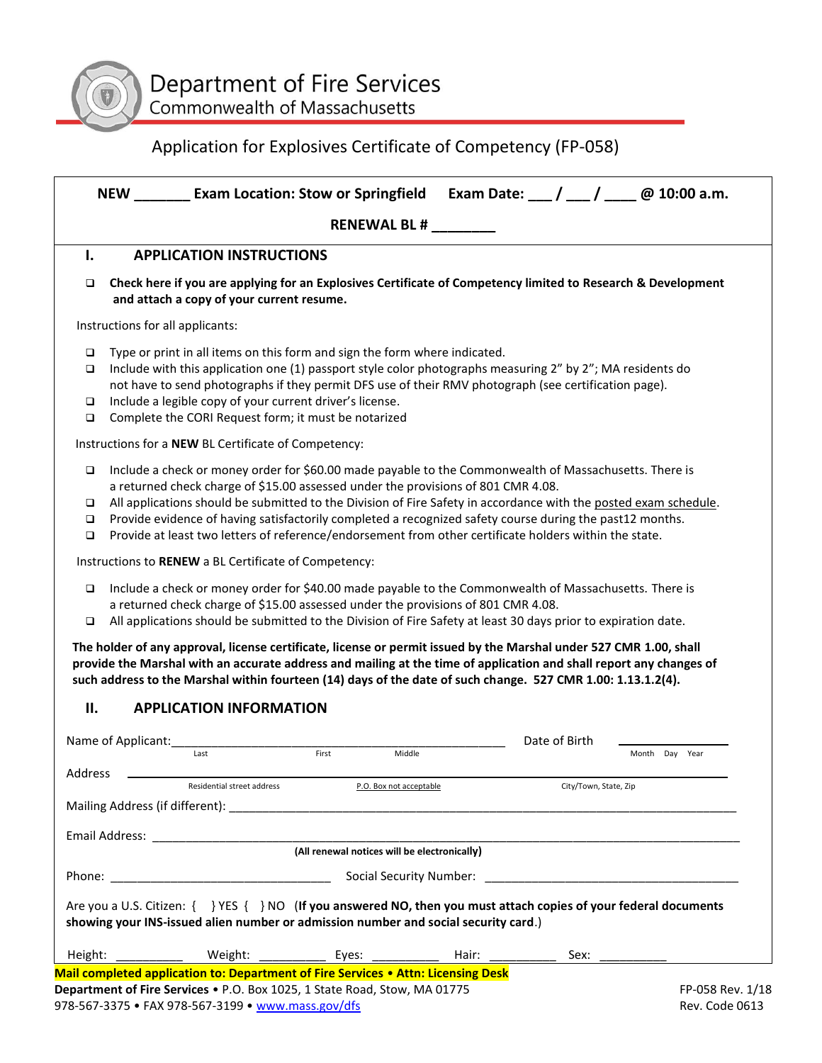

# Application for Explosives Certificate of Competency (FP-058)

|                       | NEW __________ Exam Location: Stow or Springfield                                                                                                                                                                                                                                                                                                                                                                                                                                                                                     |                                              |       |                       | Exam Date: $\frac{1}{2}$ / $\frac{1}{2}$ / $\frac{1}{2}$ @ 10:00 a.m. |
|-----------------------|---------------------------------------------------------------------------------------------------------------------------------------------------------------------------------------------------------------------------------------------------------------------------------------------------------------------------------------------------------------------------------------------------------------------------------------------------------------------------------------------------------------------------------------|----------------------------------------------|-------|-----------------------|-----------------------------------------------------------------------|
|                       |                                                                                                                                                                                                                                                                                                                                                                                                                                                                                                                                       | <b>RENEWAL BL#</b>                           |       |                       |                                                                       |
| I.                    | <b>APPLICATION INSTRUCTIONS</b>                                                                                                                                                                                                                                                                                                                                                                                                                                                                                                       |                                              |       |                       |                                                                       |
| □                     | Check here if you are applying for an Explosives Certificate of Competency limited to Research & Development<br>and attach a copy of your current resume.                                                                                                                                                                                                                                                                                                                                                                             |                                              |       |                       |                                                                       |
|                       | Instructions for all applicants:                                                                                                                                                                                                                                                                                                                                                                                                                                                                                                      |                                              |       |                       |                                                                       |
| □<br>❏<br>□<br>□      | Type or print in all items on this form and sign the form where indicated.<br>Include with this application one (1) passport style color photographs measuring 2" by 2"; MA residents do<br>not have to send photographs if they permit DFS use of their RMV photograph (see certification page).<br>Include a legible copy of your current driver's license.<br>Complete the CORI Request form; it must be notarized                                                                                                                 |                                              |       |                       |                                                                       |
|                       | Instructions for a NEW BL Certificate of Competency:                                                                                                                                                                                                                                                                                                                                                                                                                                                                                  |                                              |       |                       |                                                                       |
| $\Box$<br>□<br>❏<br>□ | Include a check or money order for \$60.00 made payable to the Commonwealth of Massachusetts. There is<br>a returned check charge of \$15.00 assessed under the provisions of 801 CMR 4.08.<br>All applications should be submitted to the Division of Fire Safety in accordance with the posted exam schedule.<br>Provide evidence of having satisfactorily completed a recognized safety course during the past12 months.<br>Provide at least two letters of reference/endorsement from other certificate holders within the state. |                                              |       |                       |                                                                       |
|                       | Instructions to RENEW a BL Certificate of Competency:                                                                                                                                                                                                                                                                                                                                                                                                                                                                                 |                                              |       |                       |                                                                       |
| $\Box$<br>□           | Include a check or money order for \$40.00 made payable to the Commonwealth of Massachusetts. There is<br>a returned check charge of \$15.00 assessed under the provisions of 801 CMR 4.08.<br>All applications should be submitted to the Division of Fire Safety at least 30 days prior to expiration date.                                                                                                                                                                                                                         |                                              |       |                       |                                                                       |
|                       | The holder of any approval, license certificate, license or permit issued by the Marshal under 527 CMR 1.00, shall<br>provide the Marshal with an accurate address and mailing at the time of application and shall report any changes of<br>such address to the Marshal within fourteen (14) days of the date of such change. 527 CMR 1.00: 1.13.1.2(4).                                                                                                                                                                             |                                              |       |                       |                                                                       |
| П.                    | <b>APPLICATION INFORMATION</b>                                                                                                                                                                                                                                                                                                                                                                                                                                                                                                        |                                              |       |                       |                                                                       |
|                       | Name of Applicant:<br>Last                                                                                                                                                                                                                                                                                                                                                                                                                                                                                                            | Middle<br>First                              |       | Date of Birth         | Month Day<br>Year                                                     |
| Address               | Residential street address                                                                                                                                                                                                                                                                                                                                                                                                                                                                                                            | P.O. Box not acceptable                      |       | City/Town, State, Zip |                                                                       |
|                       | Mailing Address (if different): Note that the state of the state of the state of the state of the state of the state of the state of the state of the state of the state of the state of the state of the state of the state o                                                                                                                                                                                                                                                                                                        |                                              |       |                       |                                                                       |
|                       |                                                                                                                                                                                                                                                                                                                                                                                                                                                                                                                                       | (All renewal notices will be electronically) |       |                       |                                                                       |
|                       |                                                                                                                                                                                                                                                                                                                                                                                                                                                                                                                                       |                                              |       |                       |                                                                       |
|                       | Are you a U.S. Citizen: $\{\}$ YES $\{\}$ NO (If you answered NO, then you must attach copies of your federal documents<br>showing your INS-issued alien number or admission number and social security card.)                                                                                                                                                                                                                                                                                                                        |                                              |       |                       |                                                                       |
| Height:               |                                                                                                                                                                                                                                                                                                                                                                                                                                                                                                                                       | Weight: _____________ Eyes: ____________     | Hair: | Sex:                  |                                                                       |
|                       | Mail completed application to: Department of Fire Services • Attn: Licensing Desk<br>Department of Fire Services . P.O. Box 1025, 1 State Road, Stow, MA 01775                                                                                                                                                                                                                                                                                                                                                                        |                                              |       |                       | FP-058 Rev. 1/18                                                      |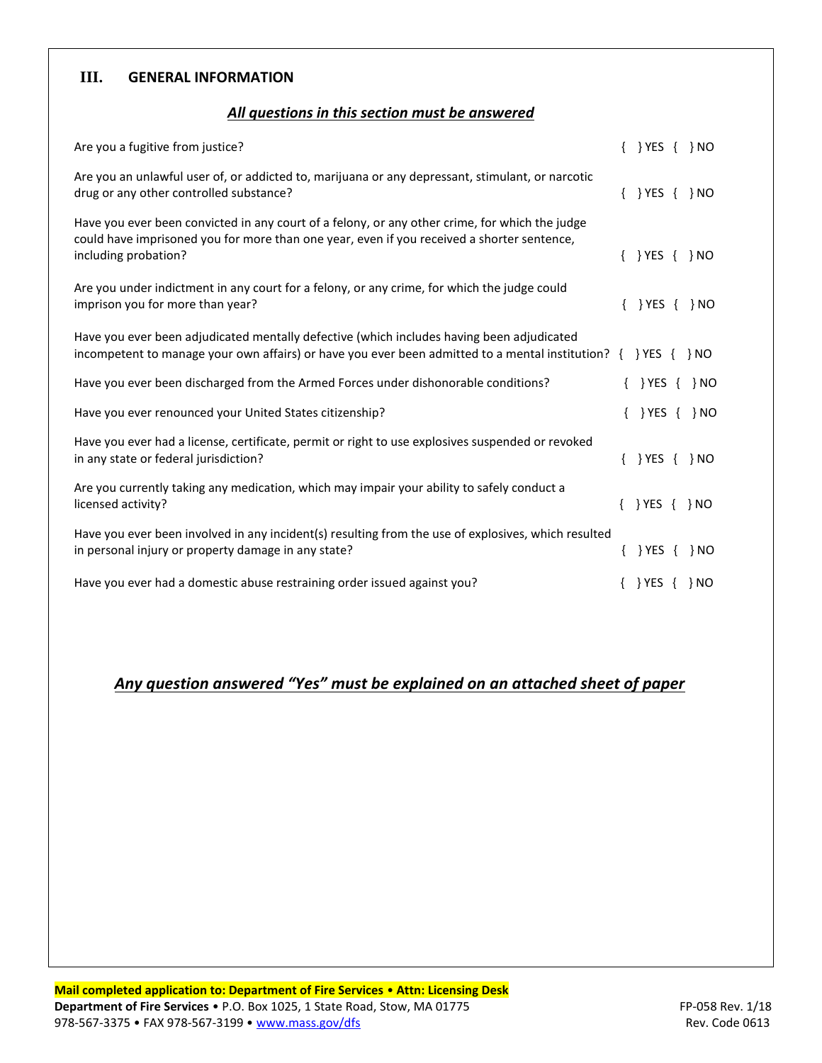### **III. GENERAL INFORMATION**

### *All questions in this section must be answered*

| Are you a fugitive from justice?                                                                                                                                                                                     | $\{ \}$ YES $\{ \}$ NO |  |
|----------------------------------------------------------------------------------------------------------------------------------------------------------------------------------------------------------------------|------------------------|--|
| Are you an unlawful user of, or addicted to, marijuana or any depressant, stimulant, or narcotic<br>drug or any other controlled substance?                                                                          | $\{ \}$ YES $\{ \}$ NO |  |
| Have you ever been convicted in any court of a felony, or any other crime, for which the judge<br>could have imprisoned you for more than one year, even if you received a shorter sentence,<br>including probation? | $\{\}$ YES $\{\}$ NO   |  |
| Are you under indictment in any court for a felony, or any crime, for which the judge could<br>imprison you for more than year?                                                                                      | $\{\}$ YES $\{\}$ NO   |  |
| Have you ever been adjudicated mentally defective (which includes having been adjudicated<br>incompetent to manage your own affairs) or have you ever been admitted to a mental institution? $\{ \}$ YES $\{ \}$ NO  |                        |  |
| Have you ever been discharged from the Armed Forces under dishonorable conditions?                                                                                                                                   | $\{\}$ YES $\{\}$ NO   |  |
| Have you ever renounced your United States citizenship?                                                                                                                                                              | $\{ \}$ YES $\{ \}$ NO |  |
| Have you ever had a license, certificate, permit or right to use explosives suspended or revoked<br>in any state or federal jurisdiction?                                                                            | $\{ \}$ YES $\{ \}$ NO |  |
| Are you currently taking any medication, which may impair your ability to safely conduct a<br>licensed activity?                                                                                                     | $\{\}$ YES $\{\}$ NO   |  |
| Have you ever been involved in any incident(s) resulting from the use of explosives, which resulted<br>in personal injury or property damage in any state?                                                           | $\{\}$ YES $\{\}$ NO   |  |
| Have you ever had a domestic abuse restraining order issued against you?                                                                                                                                             | $\{ \}$ YES $\{ \}$ NO |  |

# *Any question answered "Yes" must be explained on an attached sheet of paper*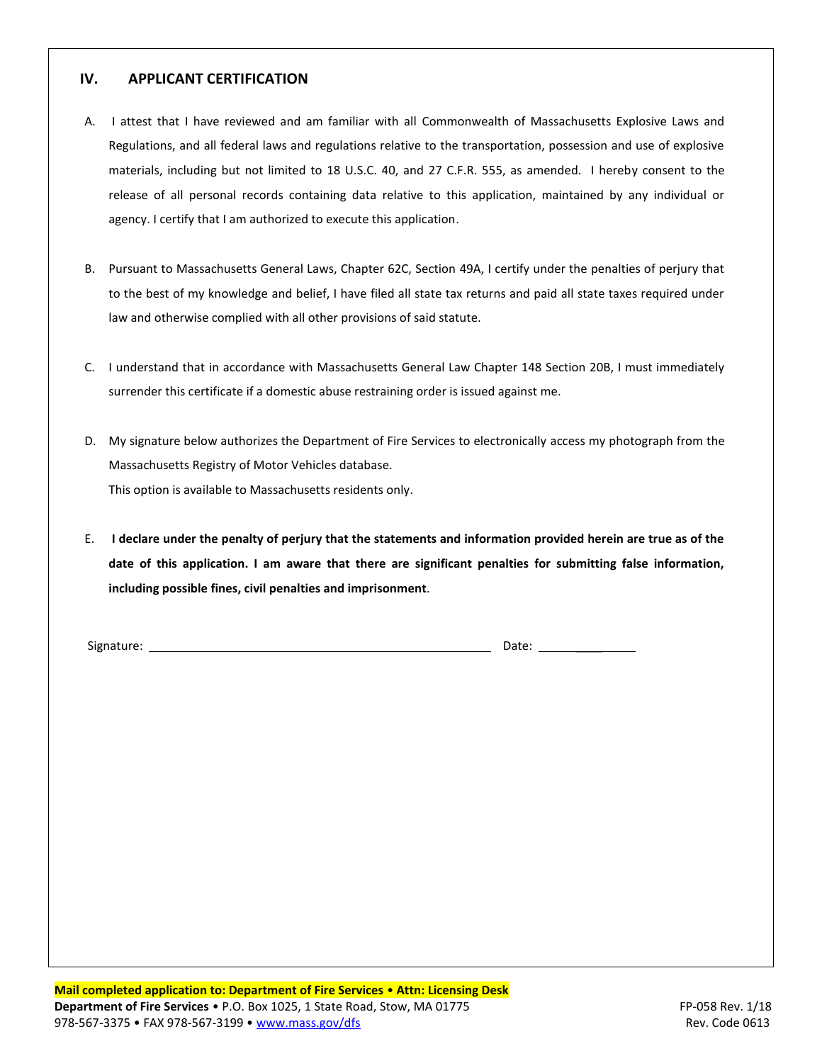#### **IV. APPLICANT CERTIFICATION**

- A. I attest that I have reviewed and am familiar with all Commonwealth of Massachusetts Explosive Laws and Regulations, and all federal laws and regulations relative to the transportation, possession and use of explosive materials, including but not limited to 18 U.S.C. 40, and 27 C.F.R. 555, as amended. I hereby consent to the release of all personal records containing data relative to this application, maintained by any individual or agency. I certify that I am authorized to execute this application.
- B. Pursuant to Massachusetts General Laws, Chapter 62C, Section 49A, I certify under the penalties of perjury that to the best of my knowledge and belief, I have filed all state tax returns and paid all state taxes required under law and otherwise complied with all other provisions of said statute.
- C. I understand that in accordance with Massachusetts General Law Chapter 148 Section 20B, I must immediately surrender this certificate if a domestic abuse restraining order is issued against me.
- D. My signature below authorizes the Department of Fire Services to electronically access my photograph from the Massachusetts Registry of Motor Vehicles database. This option is available to Massachusetts residents only.
- E. **I declare under the penalty of perjury that the statements and information provided herein are true as of the date of this application. I am aware that there are significant penalties for submitting false information, including possible fines, civil penalties and imprisonment**.

Signature: Date: \_\_\_\_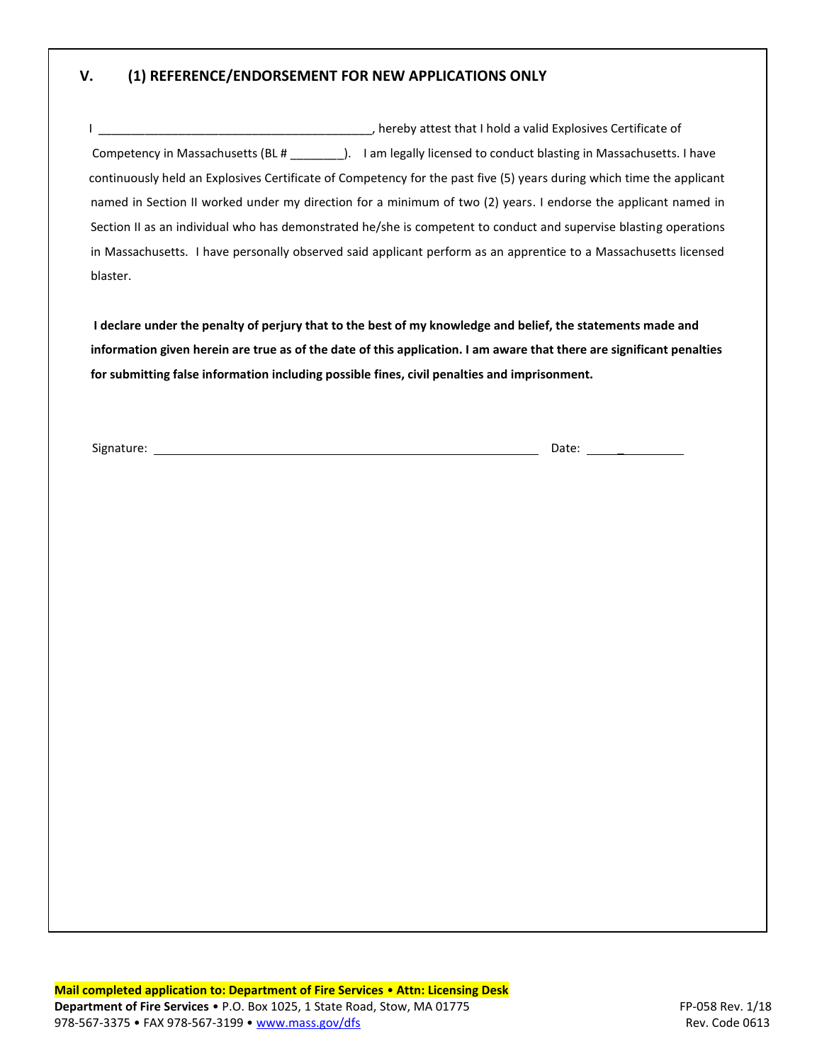#### **V. (1) REFERENCE/ENDORSEMENT FOR NEW APPLICATIONS ONLY**

 I \_\_\_\_\_\_\_\_\_\_\_\_\_\_\_\_\_\_\_\_\_\_\_\_\_\_\_\_\_\_\_\_\_\_\_\_\_\_\_\_\_, hereby attest that I hold a valid Explosives Certificate of Competency in Massachusetts (BL # \_\_\_\_\_\_\_\_). I am legally licensed to conduct blasting in Massachusetts. I have continuously held an Explosives Certificate of Competency for the past five (5) years during which time the applicant named in Section II worked under my direction for a minimum of two (2) years. I endorse the applicant named in Section II as an individual who has demonstrated he/she is competent to conduct and supervise blasting operations in Massachusetts. I have personally observed said applicant perform as an apprentice to a Massachusetts licensed blaster.

**I declare under the penalty of perjury that to the best of my knowledge and belief, the statements made and information given herein are true as of the date of this application. I am aware that there are significant penalties for submitting false information including possible fines, civil penalties and imprisonment.**

Signature: Date: \_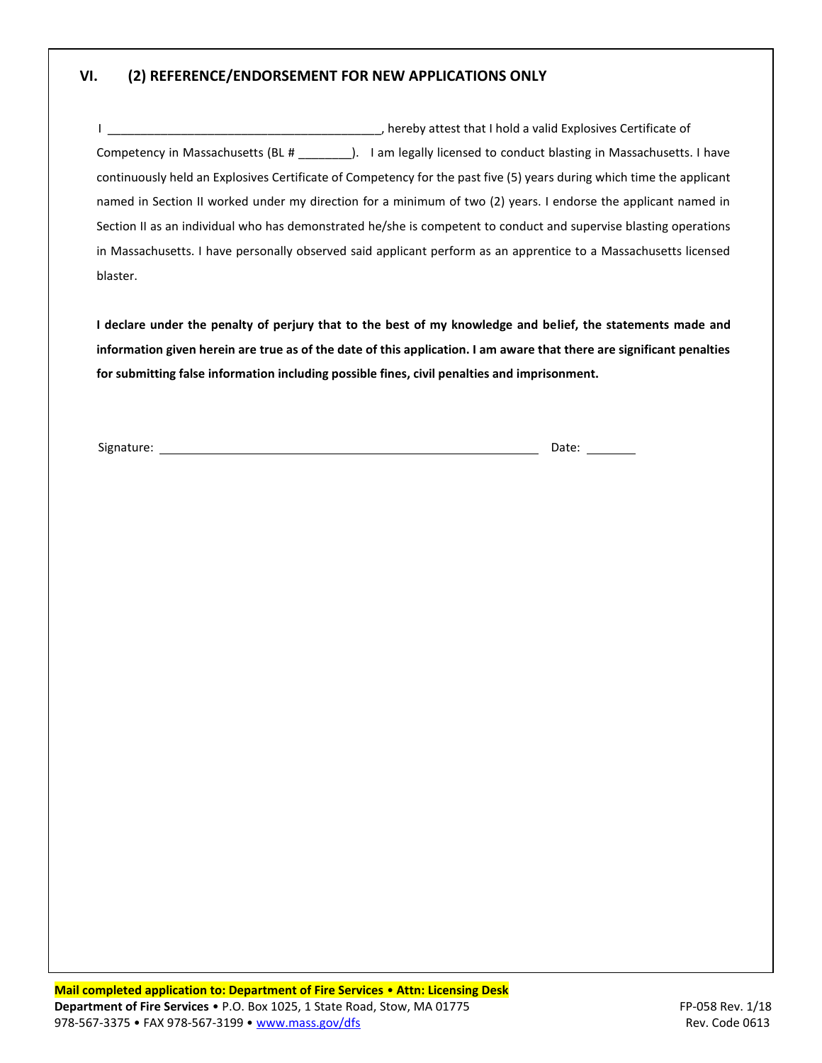#### **VI. (2) REFERENCE/ENDORSEMENT FOR NEW APPLICATIONS ONLY**

|                                   | hereby attest that I hold a valid Explosives Certificate of                                                           |
|-----------------------------------|-----------------------------------------------------------------------------------------------------------------------|
| Competency in Massachusetts (BL # | I am legally licensed to conduct blasting in Massachusetts. I have                                                    |
|                                   | continuously held an Explosives Certificate of Competency for the past five (5) years during which time the applicant |
|                                   | named in Section II worked under my direction for a minimum of two (2) years. I endorse the applicant named in        |
|                                   | Section II as an individual who has demonstrated he/she is competent to conduct and supervise blasting operations     |
|                                   | in Massachusetts. I have personally observed said applicant perform as an apprentice to a Massachusetts licensed      |
| blaster.                          |                                                                                                                       |

**I declare under the penalty of perjury that to the best of my knowledge and belief, the statements made and information given herein are true as of the date of this application. I am aware that there are significant penalties for submitting false information including possible fines, civil penalties and imprisonment.**

Signature: Date: